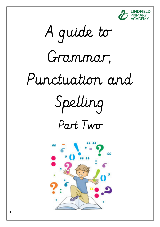

 A guide to Grammar, Punctuation and Spelling Spelling Part Two

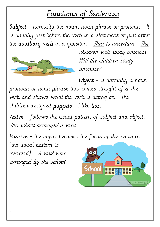# Functions of Sentences

Subject - normally the noun, noun phrase or pronoun. It is usually just before the verb in a statement or just after the auxiliary verb in a question. That is uncertain. The



children will study animals. Will the children study animals?

Object - is normally a noun, pronoun or noun phrase that comes straight after the verb and shows what the verb is acting on. The  $children$  designed puppets. I like that.

Active - follows the usual pattern of subject and object. The school arranged a visit.

Passive - the object becomes the focus of the sentence (the usual pattern is reversed). A visit was

arranged by the school.

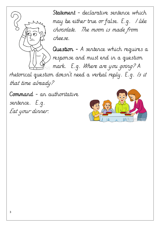

Statement - declarative sentence which may be either true or false. E.g. I like chocolate. The moon is made from cheese.

Question - A sentence which requires a response and must end in a question mark. E.g. Where are you going? A

rhetorical question doesn't need a verbal reply. E.g. Is it that time already?

Command - an authoritative sentence. E.g. Eat your dinner.

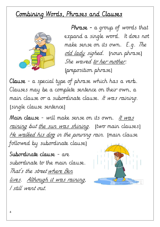### <u>Combining Words, Phrases and Clauses</u>



Phrase - a group of words that expand a single word. It does not make sense on its own. E.g. The old lady sighed. [noun phrase] She waved to her mother. [preposition phrase]

 $Clause$  - a special type of phrase which has a verb. Clauses may be a complete sentence on their own, a main clause or a subordinate clause. It was raining. [single clause sentence]

Main clause - will make sense on its own. It was raining but the sun was shining. [two main clauses] He walked his dog in the pouring rain. [main clause followed by subordinate clause]

Subordinate clause - are subordinate to the main clause. That's the street where Ben lives. Although it was raining, I still went out.

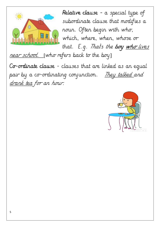

Relative clause -  $a$  special type of subordinate clause that modifies a noun. Often begin with who, which, where, when, whose or that. E.g. That's the boy who lives

near school. [who refers back to the boy]

Co-ordinate clause - clauses that are linked as an equal pair by a co-ordinating conjunction. They talked and drank tea for an hour.

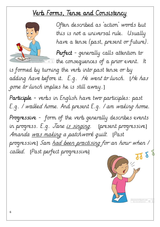## <u>Verb Forms, Tense and Consistency</u>



Often described as 'action' words but this is not a universal rule. Usually have a tense (past, present or future).

Perfect - generally calls attention to  $\vec{\bullet}$  the consequences of a prior event. It

is formed by turning the verb into past tense or by adding have before it. E.g. He went to lunch. [He has gone to lunch implies he is still away.]

Participle - verbs in English have two participles: past E.g. I walked home. And present E.g. I am waking home. Progressive - form of the verb generally describes events in progress. E.g. *Jane <u>is singing</u>.* [present progressive] Amanda was making a patchwork quilt. [Past progressive] Sam had been practising for an hour when I called. [Past perfect progressive]]

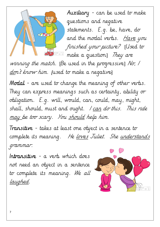

Auxiliary - can be used to make questions and negative statements. E.g. be, have, do and the modal verbs. Have you finished your picture? [Used to make a question] They are

winning the match. [Be used in the progressive] No,  $/$ <u>do</u>n't know him. [used to make a negative]

Modal - are used to change the meaning of other verbs. They can express meanings such as certainty, ability or obligation. E.g. will, would, can, could, may, might, shall, should, must and ought. I can do this. This ride <u>may b</u>e too scary. You <u>should</u> help him.

Transitive - takes at least one object in a sentence to complete its meaning. He <u>loves</u> Juliet. She <u>understands</u> grammar.

Intransitive - a verb which does not need an object in a sentence to complete its meaning. We all laughed.

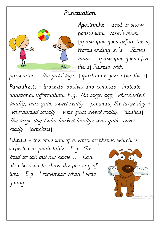#### Punctuation



Apostrophe - used to show possession. Rose's mum. [apostrophe goes before the s] Words ending in 's'. James' mum. [apostrophe goes after the s] Plurals with

possession. The girls' toys. [apostrophe goes after the s]

Parenthesis - brackets, dashes and commas. Indicate additional information. E.g. The large dog, who barked loudly, was quite sweet really. [commas] The large dog who barked loudly - was quite sweet really. [dashes] The large dog (who barked loudly) was quite sweet really. [brackets]

Ellipsis - the omission of a word or phrase which is

expected or predictable. E.g. She tried to call out his name ... Can also be used to show the passing of time. E.g. I remember when I was young...

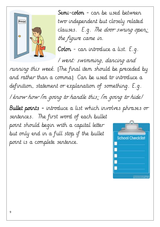

Semi-colon - can be used between two independent but closely related clauses. E.g. The door swung open; the figure came in.

 $C$ olon - can introduce a list.  $E.g.$ 

I went: swimming, dancing and

running this week. [The final item should be preceded by and rather than a comma] Can be used to introduce a definition, statement or explanation of something. E.g. I know how I'm going to handle this: I'm going to hide! Bullet points - introduce a list which involves phrases or sentences. The first word of each bullet point should begin with a capital letter but only end in a full stop if the bullet School Checki point is a complete sentence.

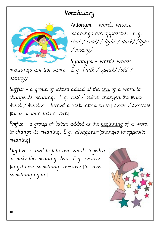### Vocabulary



Antonym - words whose meanings are opposites. E.g. (hot / cold) ( light / dark) (light / heavy)

Synonym - words whose meanings are the same. E.g. (talk / speak) (old /

elderly)

Suffix - a group of letters added at the end of a word to change its meaning. E.g. *call / called* [changed the tense] teach / teacher [turned a verb into a noun] terror / terror<u>ise</u> [turns a noun into a verb]

Prefix - a group of letters added at the beginning of a word to change its meaning. E.g. disappear [changes to opposite meaning]

Hyphen - used to join two words together to make the meaning clear. E.g. recover [to get over something] re-cover [to cover something again]

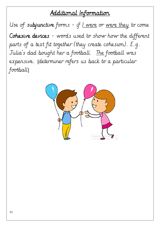#### Additional Information

Use of subjunctive forms - if  $I$  were or were they to come Cohesive devices - words used to show how the different parts of a text fit together (they create cohesion). E.g. Julia's dad bought her a football. The football was expensive. [determiner refers us back to a particular football]

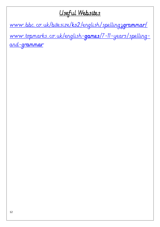#### Useful Websites

www.bbc.co.uk/bitesize/ks2/english/spellingzgrammar/

www.topmarks.co.uk/english-games/7-11-years/spelling-<u>and-grammar</u>